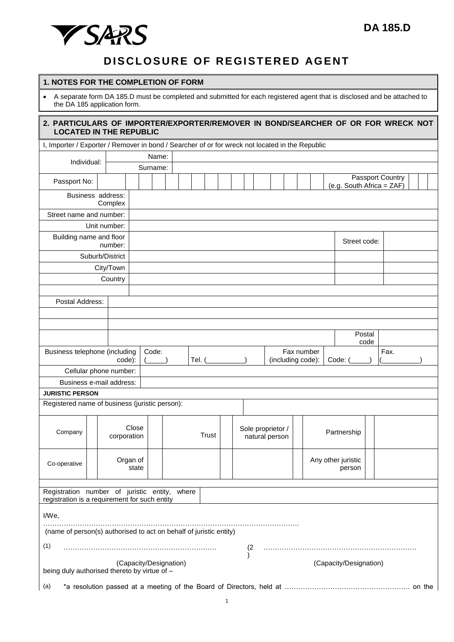## **DISCLOSURE OF REGISTERED AGENT**

## **1. NOTES FOR THE COMPLETION OF FORM**

 A separate form DA 185.D must be completed and submitted for each registered agent that is disclosed and be attached to the DA 185 application form.

| 2. PARTICULARS OF IMPORTER/EXPORTER/REMOVER IN BOND/SEARCHER OF OR FOR WRECK NOT<br><b>LOCATED IN THE REPUBLIC</b> |  |              |                        |              |       |                                                                                                                                                                                                                                |       |  |  |  |                                     |     |  |  |                                 |  |  |         |  |                              |  |             |  |      |                        |  |                                               |  |  |
|--------------------------------------------------------------------------------------------------------------------|--|--------------|------------------------|--------------|-------|--------------------------------------------------------------------------------------------------------------------------------------------------------------------------------------------------------------------------------|-------|--|--|--|-------------------------------------|-----|--|--|---------------------------------|--|--|---------|--|------------------------------|--|-------------|--|------|------------------------|--|-----------------------------------------------|--|--|
| I, Importer / Exporter / Remover in bond / Searcher of or for wreck not located in the Republic                    |  |              |                        |              |       |                                                                                                                                                                                                                                |       |  |  |  |                                     |     |  |  |                                 |  |  |         |  |                              |  |             |  |      |                        |  |                                               |  |  |
|                                                                                                                    |  |              |                        |              | Name: |                                                                                                                                                                                                                                |       |  |  |  |                                     |     |  |  |                                 |  |  |         |  |                              |  |             |  |      |                        |  |                                               |  |  |
| Individual:                                                                                                        |  | Surname:     |                        |              |       |                                                                                                                                                                                                                                |       |  |  |  |                                     |     |  |  |                                 |  |  |         |  |                              |  |             |  |      |                        |  |                                               |  |  |
| Passport No:                                                                                                       |  |              |                        |              |       |                                                                                                                                                                                                                                |       |  |  |  |                                     |     |  |  |                                 |  |  |         |  |                              |  |             |  |      |                        |  | Passport Country<br>(e.g. South Africa = ZAF) |  |  |
| Business address:                                                                                                  |  | Complex      |                        |              |       |                                                                                                                                                                                                                                |       |  |  |  |                                     |     |  |  |                                 |  |  |         |  |                              |  |             |  |      |                        |  |                                               |  |  |
| Street name and number:                                                                                            |  |              |                        |              |       |                                                                                                                                                                                                                                |       |  |  |  |                                     |     |  |  |                                 |  |  |         |  |                              |  |             |  |      |                        |  |                                               |  |  |
|                                                                                                                    |  | Unit number: |                        |              |       |                                                                                                                                                                                                                                |       |  |  |  |                                     |     |  |  |                                 |  |  |         |  |                              |  |             |  |      |                        |  |                                               |  |  |
| Building name and floor<br>number:                                                                                 |  |              |                        |              |       |                                                                                                                                                                                                                                |       |  |  |  |                                     |     |  |  |                                 |  |  |         |  |                              |  |             |  |      | Street code:           |  |                                               |  |  |
| Suburb/District                                                                                                    |  |              |                        |              |       |                                                                                                                                                                                                                                |       |  |  |  |                                     |     |  |  |                                 |  |  |         |  |                              |  |             |  |      |                        |  |                                               |  |  |
|                                                                                                                    |  | City/Town    |                        |              |       |                                                                                                                                                                                                                                |       |  |  |  |                                     |     |  |  |                                 |  |  |         |  |                              |  |             |  |      |                        |  |                                               |  |  |
|                                                                                                                    |  | Country      |                        |              |       |                                                                                                                                                                                                                                |       |  |  |  |                                     |     |  |  |                                 |  |  |         |  |                              |  |             |  |      |                        |  |                                               |  |  |
| Postal Address:                                                                                                    |  |              |                        |              |       |                                                                                                                                                                                                                                |       |  |  |  |                                     |     |  |  |                                 |  |  |         |  |                              |  |             |  |      |                        |  |                                               |  |  |
|                                                                                                                    |  |              |                        |              |       |                                                                                                                                                                                                                                |       |  |  |  |                                     |     |  |  |                                 |  |  |         |  |                              |  |             |  |      |                        |  |                                               |  |  |
|                                                                                                                    |  |              |                        |              |       |                                                                                                                                                                                                                                |       |  |  |  |                                     |     |  |  |                                 |  |  |         |  |                              |  |             |  |      |                        |  |                                               |  |  |
|                                                                                                                    |  |              |                        |              |       |                                                                                                                                                                                                                                |       |  |  |  |                                     |     |  |  |                                 |  |  |         |  |                              |  |             |  |      | Postal<br>code         |  |                                               |  |  |
| Code:<br>Business telephone (including<br>code):                                                                   |  |              |                        |              |       | Tel. (The control of the control of the control of the control of the control of the control of the control of the control of the control of the control of the control of the control of the control of the control of the co |       |  |  |  |                                     |     |  |  | Fax number<br>(including code): |  |  | Code: ( |  |                              |  |             |  | Fax. |                        |  |                                               |  |  |
| Cellular phone number:                                                                                             |  |              |                        |              |       |                                                                                                                                                                                                                                |       |  |  |  |                                     |     |  |  |                                 |  |  |         |  |                              |  |             |  |      |                        |  |                                               |  |  |
| Business e-mail address:                                                                                           |  |              |                        |              |       |                                                                                                                                                                                                                                |       |  |  |  |                                     |     |  |  |                                 |  |  |         |  |                              |  |             |  |      |                        |  |                                               |  |  |
| <b>JURISTIC PERSON</b>                                                                                             |  |              |                        |              |       |                                                                                                                                                                                                                                |       |  |  |  |                                     |     |  |  |                                 |  |  |         |  |                              |  |             |  |      |                        |  |                                               |  |  |
| Registered name of business (juristic person):                                                                     |  |              |                        |              |       |                                                                                                                                                                                                                                |       |  |  |  |                                     |     |  |  |                                 |  |  |         |  |                              |  |             |  |      |                        |  |                                               |  |  |
| Company                                                                                                            |  | corporation  | Close                  | <b>Trust</b> |       |                                                                                                                                                                                                                                |       |  |  |  | Sole proprietor /<br>natural person |     |  |  |                                 |  |  |         |  |                              |  | Partnership |  |      |                        |  |                                               |  |  |
| Co-operative                                                                                                       |  |              | Organ of<br>state      |              |       |                                                                                                                                                                                                                                |       |  |  |  |                                     |     |  |  |                                 |  |  |         |  | Any other juristic<br>person |  |             |  |      |                        |  |                                               |  |  |
| Registration number of juristic entity,<br>registration is a requirement for such entity                           |  |              |                        |              |       |                                                                                                                                                                                                                                | where |  |  |  |                                     |     |  |  |                                 |  |  |         |  |                              |  |             |  |      |                        |  |                                               |  |  |
| I/We,                                                                                                              |  |              |                        |              |       |                                                                                                                                                                                                                                |       |  |  |  |                                     |     |  |  |                                 |  |  |         |  |                              |  |             |  |      |                        |  |                                               |  |  |
| (name of person(s) authorised to act on behalf of juristic entity)                                                 |  |              |                        |              |       |                                                                                                                                                                                                                                |       |  |  |  |                                     |     |  |  |                                 |  |  |         |  |                              |  |             |  |      |                        |  |                                               |  |  |
|                                                                                                                    |  |              |                        |              |       |                                                                                                                                                                                                                                |       |  |  |  |                                     |     |  |  |                                 |  |  |         |  |                              |  |             |  |      |                        |  |                                               |  |  |
| (1)                                                                                                                |  |              |                        |              |       |                                                                                                                                                                                                                                |       |  |  |  |                                     | (2) |  |  |                                 |  |  |         |  |                              |  |             |  |      |                        |  |                                               |  |  |
| being duly authorised thereto by virtue of -                                                                       |  |              | (Capacity/Designation) |              |       |                                                                                                                                                                                                                                |       |  |  |  |                                     |     |  |  |                                 |  |  |         |  |                              |  |             |  |      | (Capacity/Designation) |  |                                               |  |  |
| (a)                                                                                                                |  |              |                        |              |       |                                                                                                                                                                                                                                |       |  |  |  |                                     |     |  |  |                                 |  |  |         |  |                              |  |             |  |      |                        |  |                                               |  |  |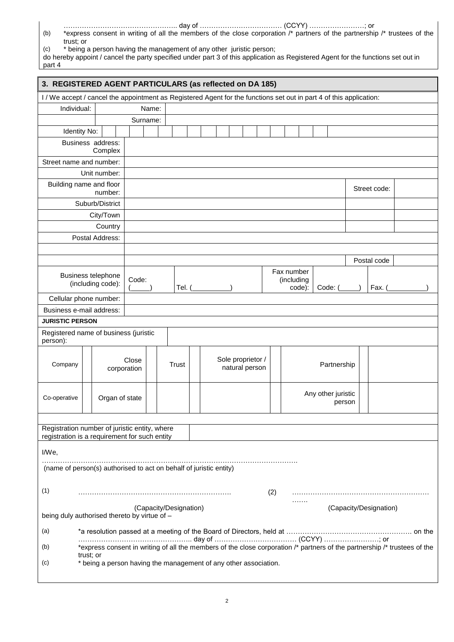- ………………………………………….. day of ……………………………… (CCYY) ……………………; or (b) \*express consent in writing of all the members of the close corporation /\* partners of the partnership /\* trustees of the trust; or
- (c) \* being a person having the management of any other juristic person;

| do hereby appoint / cancel the party specified under part 3 of this application as Registered Agent for the functions set out in |
|----------------------------------------------------------------------------------------------------------------------------------|
| part 4                                                                                                                           |

| 3. REGISTERED AGENT PARTICULARS (as reflected on DA 185)                                                            |                                                  |                 |  |                                                                                                                           |                        |                             |       |                                     |  |  |  |  |  |  |     |                                               |             |  |  |  |                    |        |  |  |                        |  |  |  |  |
|---------------------------------------------------------------------------------------------------------------------|--------------------------------------------------|-----------------|--|---------------------------------------------------------------------------------------------------------------------------|------------------------|-----------------------------|-------|-------------------------------------|--|--|--|--|--|--|-----|-----------------------------------------------|-------------|--|--|--|--------------------|--------|--|--|------------------------|--|--|--|--|
| I / We accept / cancel the appointment as Registered Agent for the functions set out in part 4 of this application: |                                                  |                 |  |                                                                                                                           |                        |                             |       |                                     |  |  |  |  |  |  |     |                                               |             |  |  |  |                    |        |  |  |                        |  |  |  |  |
| Individual:                                                                                                         |                                                  |                 |  |                                                                                                                           | Name:                  |                             |       |                                     |  |  |  |  |  |  |     |                                               |             |  |  |  |                    |        |  |  |                        |  |  |  |  |
|                                                                                                                     |                                                  |                 |  |                                                                                                                           | Surname:               |                             |       |                                     |  |  |  |  |  |  |     |                                               |             |  |  |  |                    |        |  |  |                        |  |  |  |  |
| Identity No:                                                                                                        |                                                  |                 |  |                                                                                                                           |                        |                             |       |                                     |  |  |  |  |  |  |     |                                               |             |  |  |  |                    |        |  |  |                        |  |  |  |  |
| Business address:                                                                                                   |                                                  | Complex         |  |                                                                                                                           |                        |                             |       |                                     |  |  |  |  |  |  |     |                                               |             |  |  |  |                    |        |  |  |                        |  |  |  |  |
| Street name and number:                                                                                             |                                                  |                 |  |                                                                                                                           |                        |                             |       |                                     |  |  |  |  |  |  |     |                                               |             |  |  |  |                    |        |  |  |                        |  |  |  |  |
|                                                                                                                     |                                                  | Unit number:    |  |                                                                                                                           |                        |                             |       |                                     |  |  |  |  |  |  |     |                                               |             |  |  |  |                    |        |  |  |                        |  |  |  |  |
| Building name and floor                                                                                             |                                                  | number:         |  |                                                                                                                           |                        |                             |       |                                     |  |  |  |  |  |  |     |                                               |             |  |  |  | Street code:       |        |  |  |                        |  |  |  |  |
|                                                                                                                     |                                                  | Suburb/District |  |                                                                                                                           |                        |                             |       |                                     |  |  |  |  |  |  |     |                                               |             |  |  |  |                    |        |  |  |                        |  |  |  |  |
|                                                                                                                     |                                                  | City/Town       |  |                                                                                                                           |                        |                             |       |                                     |  |  |  |  |  |  |     |                                               |             |  |  |  |                    |        |  |  |                        |  |  |  |  |
|                                                                                                                     |                                                  | Country         |  |                                                                                                                           |                        |                             |       |                                     |  |  |  |  |  |  |     |                                               |             |  |  |  |                    |        |  |  |                        |  |  |  |  |
|                                                                                                                     |                                                  | Postal Address: |  |                                                                                                                           |                        |                             |       |                                     |  |  |  |  |  |  |     |                                               |             |  |  |  |                    |        |  |  |                        |  |  |  |  |
|                                                                                                                     |                                                  |                 |  |                                                                                                                           |                        |                             |       |                                     |  |  |  |  |  |  |     |                                               |             |  |  |  |                    |        |  |  |                        |  |  |  |  |
|                                                                                                                     |                                                  |                 |  |                                                                                                                           |                        |                             |       |                                     |  |  |  |  |  |  |     |                                               |             |  |  |  |                    |        |  |  | Postal code            |  |  |  |  |
|                                                                                                                     | Business telephone<br>Code:<br>(including code): |                 |  |                                                                                                                           |                        | Tel. (Carrier of the Tel. 1 |       |                                     |  |  |  |  |  |  |     | Fax number<br>(including<br>code):<br>Code: ( |             |  |  |  |                    |        |  |  | Fax. (                 |  |  |  |  |
| Cellular phone number:                                                                                              |                                                  |                 |  |                                                                                                                           |                        |                             |       |                                     |  |  |  |  |  |  |     |                                               |             |  |  |  |                    |        |  |  |                        |  |  |  |  |
| Business e-mail address:                                                                                            |                                                  |                 |  |                                                                                                                           |                        |                             |       |                                     |  |  |  |  |  |  |     |                                               |             |  |  |  |                    |        |  |  |                        |  |  |  |  |
| <b>JURISTIC PERSON</b>                                                                                              |                                                  |                 |  |                                                                                                                           |                        |                             |       |                                     |  |  |  |  |  |  |     |                                               |             |  |  |  |                    |        |  |  |                        |  |  |  |  |
| Registered name of business (juristic<br>person):                                                                   |                                                  |                 |  |                                                                                                                           |                        |                             |       |                                     |  |  |  |  |  |  |     |                                               |             |  |  |  |                    |        |  |  |                        |  |  |  |  |
| Company                                                                                                             |                                                  |                 |  | Close<br>corporation                                                                                                      |                        |                             | Trust | Sole proprietor /<br>natural person |  |  |  |  |  |  |     |                                               | Partnership |  |  |  |                    |        |  |  |                        |  |  |  |  |
| Co-operative                                                                                                        |                                                  |                 |  | Organ of state                                                                                                            |                        |                             |       |                                     |  |  |  |  |  |  |     |                                               |             |  |  |  | Any other juristic | person |  |  |                        |  |  |  |  |
|                                                                                                                     |                                                  |                 |  |                                                                                                                           |                        |                             |       |                                     |  |  |  |  |  |  |     |                                               |             |  |  |  |                    |        |  |  |                        |  |  |  |  |
| Registration number of juristic entity, where<br>registration is a requirement for such entity                      |                                                  |                 |  |                                                                                                                           |                        |                             |       |                                     |  |  |  |  |  |  |     |                                               |             |  |  |  |                    |        |  |  |                        |  |  |  |  |
| I/We,                                                                                                               |                                                  |                 |  |                                                                                                                           |                        |                             |       |                                     |  |  |  |  |  |  |     |                                               |             |  |  |  |                    |        |  |  |                        |  |  |  |  |
| (name of person(s) authorised to act on behalf of juristic entity)                                                  |                                                  |                 |  |                                                                                                                           |                        |                             |       |                                     |  |  |  |  |  |  |     |                                               |             |  |  |  |                    |        |  |  |                        |  |  |  |  |
| (1)                                                                                                                 |                                                  |                 |  |                                                                                                                           |                        |                             |       |                                     |  |  |  |  |  |  | (2) |                                               |             |  |  |  |                    |        |  |  |                        |  |  |  |  |
| being duly authorised thereto by virtue of -                                                                        |                                                  |                 |  |                                                                                                                           | (Capacity/Designation) |                             |       |                                     |  |  |  |  |  |  |     |                                               |             |  |  |  |                    |        |  |  | (Capacity/Designation) |  |  |  |  |
| (a)                                                                                                                 |                                                  |                 |  |                                                                                                                           |                        |                             |       |                                     |  |  |  |  |  |  |     |                                               |             |  |  |  |                    |        |  |  |                        |  |  |  |  |
| (b)                                                                                                                 |                                                  |                 |  | *express consent in writing of all the members of the close corporation /* partners of the partnership /* trustees of the |                        |                             |       |                                     |  |  |  |  |  |  |     |                                               |             |  |  |  |                    |        |  |  |                        |  |  |  |  |
| (c)                                                                                                                 | trust; or                                        |                 |  | * being a person having the management of any other association.                                                          |                        |                             |       |                                     |  |  |  |  |  |  |     |                                               |             |  |  |  |                    |        |  |  |                        |  |  |  |  |